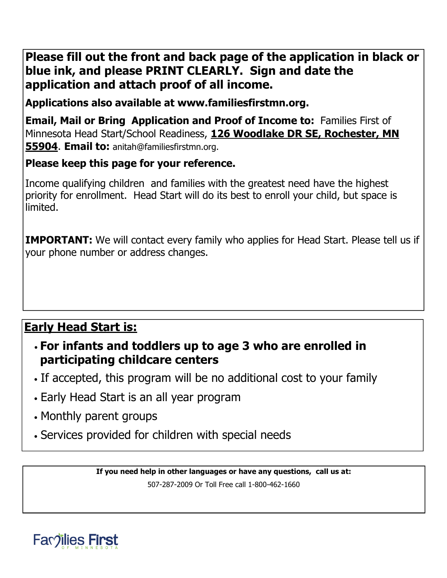# **Please fill out the front and back page of the application in black or blue ink, and please PRINT CLEARLY. Sign and date the application and attach proof of all income.**

**Applications also available at www.familiesfirstmn.org.**

**Email, Mail or Bring Application and Proof of Income to:** Families First of Minnesota Head Start/School Readiness, **126 Woodlake DR SE, Rochester, MN 55904**. **Email to:** anitah@familiesfirstmn.org.

## **Please keep this page for your reference.**

Income qualifying children and families with the greatest need have the highest priority for enrollment. Head Start will do its best to enroll your child, but space is limited.

**IMPORTANT:** We will contact every family who applies for Head Start. Please tell us if your phone number or address changes.

# **Early Head Start is:**

- **For infants and toddlers up to age 3 who are enrolled in participating childcare centers**
- If accepted, this program will be no additional cost to your family
- Early Head Start is an all year program
- Monthly parent groups
- Services provided for children with special needs

**If you need help in other languages or have any questions, call us at:** 

507-287-2009 Or Toll Free call 1-800-462-1660

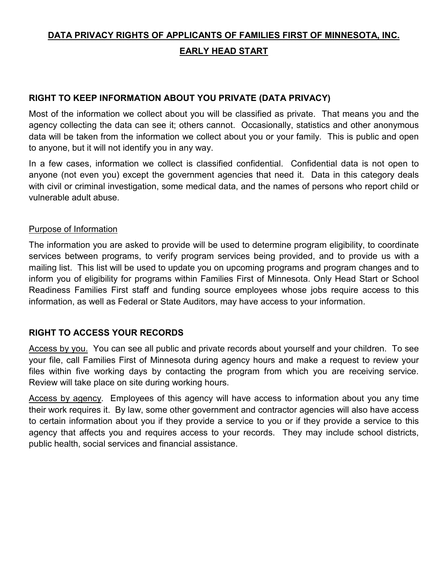## **DATA PRIVACY RIGHTS OF APPLICANTS OF FAMILIES FIRST OF MINNESOTA, INC. EARLY HEAD START**

## **RIGHT TO KEEP INFORMATION ABOUT YOU PRIVATE (DATA PRIVACY)**

Most of the information we collect about you will be classified as private. That means you and the agency collecting the data can see it; others cannot. Occasionally, statistics and other anonymous data will be taken from the information we collect about you or your family. This is public and open to anyone, but it will not identify you in any way.

In a few cases, information we collect is classified confidential. Confidential data is not open to anyone (not even you) except the government agencies that need it. Data in this category deals with civil or criminal investigation, some medical data, and the names of persons who report child or vulnerable adult abuse.

### Purpose of Information

The information you are asked to provide will be used to determine program eligibility, to coordinate services between programs, to verify program services being provided, and to provide us with a mailing list. This list will be used to update you on upcoming programs and program changes and to inform you of eligibility for programs within Families First of Minnesota. Only Head Start or School Readiness Families First staff and funding source employees whose jobs require access to this information, as well as Federal or State Auditors, may have access to your information.

## **RIGHT TO ACCESS YOUR RECORDS**

Access by you. You can see all public and private records about yourself and your children. To see your file, call Families First of Minnesota during agency hours and make a request to review your files within five working days by contacting the program from which you are receiving service. Review will take place on site during working hours.

Access by agency. Employees of this agency will have access to information about you any time their work requires it. By law, some other government and contractor agencies will also have access to certain information about you if they provide a service to you or if they provide a service to this agency that affects you and requires access to your records. They may include school districts, public health, social services and financial assistance.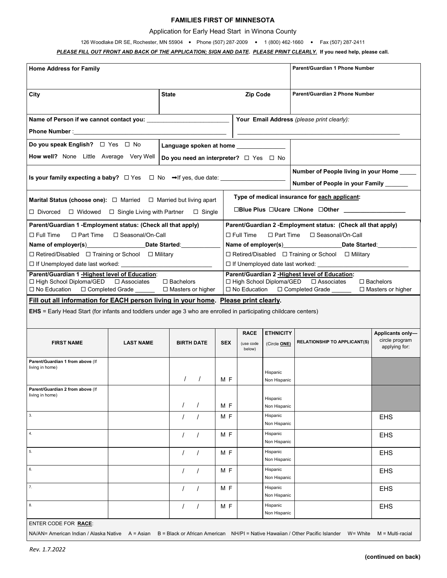### **FAMILIES FIRST OF MINNESOTA**

#### Application for Early Head Start in Winona County

#### 126 Woodlake DR SE, Rochester, MN 55904 • Phone (507) 287-2009 • 1 (800) 462-1660 • Fax (507) 287-2411

#### *PLEASE FILL OUT FRONT AND BACK OF THE APPLICATION; SIGN AND DATE***.** *PLEASE PRINT CLEARLY.* **If you need help, please call.**

| <b>Home Address for Family</b>                                                                                                                                                                                                                      |                  |                      |                                                                                                                                                                                               | Parent/Guardian 1 Phone Number                                                                                                                                                                                                                                                               |                                            |                                                                                                                                          |                                                     |  |  |
|-----------------------------------------------------------------------------------------------------------------------------------------------------------------------------------------------------------------------------------------------------|------------------|----------------------|-----------------------------------------------------------------------------------------------------------------------------------------------------------------------------------------------|----------------------------------------------------------------------------------------------------------------------------------------------------------------------------------------------------------------------------------------------------------------------------------------------|--------------------------------------------|------------------------------------------------------------------------------------------------------------------------------------------|-----------------------------------------------------|--|--|
| City                                                                                                                                                                                                                                                | <b>State</b>     |                      |                                                                                                                                                                                               | Zip Code                                                                                                                                                                                                                                                                                     |                                            | Parent/Guardian 2 Phone Number                                                                                                           |                                                     |  |  |
| Name of Person if we cannot contact you:                                                                                                                                                                                                            |                  |                      |                                                                                                                                                                                               |                                                                                                                                                                                                                                                                                              | Your Email Address (please print clearly): |                                                                                                                                          |                                                     |  |  |
|                                                                                                                                                                                                                                                     |                  |                      |                                                                                                                                                                                               |                                                                                                                                                                                                                                                                                              |                                            |                                                                                                                                          |                                                     |  |  |
| Do you speak English? □ Yes □ No<br>Language spoken at home _______________                                                                                                                                                                         |                  |                      |                                                                                                                                                                                               |                                                                                                                                                                                                                                                                                              |                                            |                                                                                                                                          |                                                     |  |  |
| How well? None Little Average Very Well<br>Do you need an interpreter? $\Box$ Yes $\Box$ No                                                                                                                                                         |                  |                      |                                                                                                                                                                                               |                                                                                                                                                                                                                                                                                              |                                            |                                                                                                                                          |                                                     |  |  |
|                                                                                                                                                                                                                                                     |                  |                      |                                                                                                                                                                                               | Number of People living in your Home ____<br>Number of People in your Family ______                                                                                                                                                                                                          |                                            |                                                                                                                                          |                                                     |  |  |
| <b>Marital Status (choose one):</b> $\Box$ Married $\Box$ Married but living apart                                                                                                                                                                  |                  |                      |                                                                                                                                                                                               | Type of medical insurance for each applicant:                                                                                                                                                                                                                                                |                                            |                                                                                                                                          |                                                     |  |  |
| □Blue Plus □Ucare □None □Other _______________<br>$\Box$ Divorced $\Box$ Widowed $\Box$ Single Living with Partner<br>$\Box$ Single                                                                                                                 |                  |                      |                                                                                                                                                                                               |                                                                                                                                                                                                                                                                                              |                                            |                                                                                                                                          |                                                     |  |  |
| Parent/Guardian 1 - Employment status: (Check all that apply)<br>$\Box$ Full Time<br>$\Box$ Part Time $\Box$ Seasonal/On-Call<br>Name of employer(s) example and Date Started:<br>$\Box$ Retired/Disabled $\Box$ Training or School $\Box$ Military |                  |                      |                                                                                                                                                                                               | Parent/Guardian 2 - Employment status: (Check all that apply)<br>$\Box$ Full Time<br>$\Box$ Part Time<br>□ Seasonal/On-Call<br>Name of employer(s) Date Started:<br>$\Box$ Retired/Disabled $\Box$ Training or School $\Box$ Military<br>□ If Unemployed date last worked: <u>University</u> |                                            |                                                                                                                                          |                                                     |  |  |
| Parent/Guardian 1 - Highest level of Education:<br>□ High School Diploma/GED □ Associates<br>□ No Education □ Completed Grade □ Masters or higher                                                                                                   |                  | $\Box$ Bachelors     | Parent/Guardian 2 - Highest level of Education:<br>$\Box$ High School Diploma/GED $\Box$ Associates<br>$\Box$ Bachelors<br>□ No Education □ Completed Grade _____<br>$\Box$ Masters or higher |                                                                                                                                                                                                                                                                                              |                                            |                                                                                                                                          |                                                     |  |  |
| Fill out all information for EACH person living in your home. Please print clearly.<br><b>EHS</b> = Early Head Start (for infants and toddlers under age 3 who are enrolled in participating childcare centers)                                     |                  |                      |                                                                                                                                                                                               |                                                                                                                                                                                                                                                                                              |                                            |                                                                                                                                          |                                                     |  |  |
| <b>FIRST NAME</b>                                                                                                                                                                                                                                   | <b>LAST NAME</b> | <b>BIRTH DATE</b>    | <b>SEX</b>                                                                                                                                                                                    | <b>RACE</b><br>(use code<br>below)                                                                                                                                                                                                                                                           | <b>ETHNICITY</b><br>(Circle ONE)           | <b>RELATIONSHIP TO APPLICANT(S)</b>                                                                                                      | Applicants only-<br>circle program<br>applying for: |  |  |
| Parent/Guardian 1 from above (If<br>living in home)                                                                                                                                                                                                 |                  |                      | M F                                                                                                                                                                                           |                                                                                                                                                                                                                                                                                              | Hispanic<br>Non Hispanic                   |                                                                                                                                          |                                                     |  |  |
| Parent/Guardian 2 from above (If<br>living in home)                                                                                                                                                                                                 |                  | $\prime$             | M F                                                                                                                                                                                           |                                                                                                                                                                                                                                                                                              | Hispanic<br>Non Hispanic                   |                                                                                                                                          |                                                     |  |  |
| 3.                                                                                                                                                                                                                                                  |                  | $\prime$<br>$\prime$ | M F                                                                                                                                                                                           |                                                                                                                                                                                                                                                                                              | Hispanic<br>Non Hispanic                   |                                                                                                                                          | <b>EHS</b>                                          |  |  |
| 4.                                                                                                                                                                                                                                                  |                  | $\prime$             | M F                                                                                                                                                                                           |                                                                                                                                                                                                                                                                                              | Hispanic<br>Non Hispanic                   |                                                                                                                                          | <b>EHS</b>                                          |  |  |
| 5.                                                                                                                                                                                                                                                  |                  | $\prime$             | M F                                                                                                                                                                                           |                                                                                                                                                                                                                                                                                              | Hispanic<br>Non Hispanic                   |                                                                                                                                          | <b>EHS</b>                                          |  |  |
| 6.                                                                                                                                                                                                                                                  |                  | $\prime$             | M F                                                                                                                                                                                           |                                                                                                                                                                                                                                                                                              | Hispanic<br>Non Hispanic                   |                                                                                                                                          | <b>EHS</b>                                          |  |  |
| 7.                                                                                                                                                                                                                                                  |                  | $\prime$             | M F                                                                                                                                                                                           |                                                                                                                                                                                                                                                                                              | Hispanic<br>Non Hispanic                   |                                                                                                                                          | <b>EHS</b>                                          |  |  |
| 8.                                                                                                                                                                                                                                                  |                  |                      | M F                                                                                                                                                                                           |                                                                                                                                                                                                                                                                                              | Hispanic<br>Non Hispanic                   |                                                                                                                                          | <b>EHS</b>                                          |  |  |
| ENTER CODE FOR RACE:                                                                                                                                                                                                                                |                  |                      |                                                                                                                                                                                               |                                                                                                                                                                                                                                                                                              |                                            | NA/AN= American Indian / Alaska Native A = Asian B = Black or African American NH/PI = Native Hawaiian / Other Pacific Islander W= White | $M = Multi$ -racial                                 |  |  |